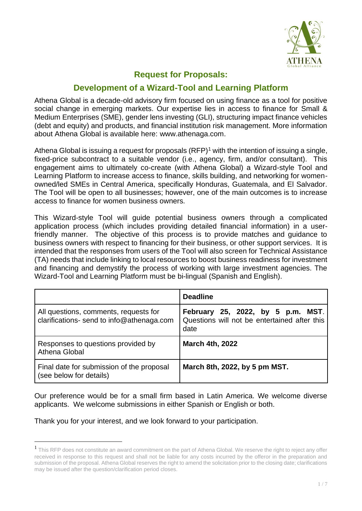

# **Request for Proposals:**

# **Development of a Wizard-Tool and Learning Platform**

Athena Global is a decade-old advisory firm focused on using finance as a tool for positive social change in emerging markets. Our expertise lies in access to finance for Small & Medium Enterprises (SME), gender lens investing (GLI), structuring impact finance vehicles (debt and equity) and products, and financial institution risk management. More information about Athena Global is available here: [www.athenaga.com.](http://www.athenaga.com/)

Athena Global is issuing a request for proposals  $(RFP)^1$  with the intention of issuing a single, fixed-price subcontract to a suitable vendor (i.e., agency, firm, and/or consultant). This engagement aims to ultimately co-create (with Athena Global) a Wizard-style Tool and Learning Platform to increase access to finance, skills building, and networking for womenowned/led SMEs in Central America, specifically Honduras, Guatemala, and El Salvador. The Tool will be open to all businesses; however, one of the main outcomes is to increase access to finance for women business owners.

This Wizard-style Tool will guide potential business owners through a complicated application process (which includes providing detailed financial information) in a userfriendly manner. The objective of this process is to provide matches and guidance to business owners with respect to financing for their business, or other support services. It is intended that the responses from users of the Tool will also screen for Technical Assistance (TA) needs that include linking to local resources to boost business readiness for investment and financing and demystify the process of working with large investment agencies. The Wizard-Tool and Learning Platform must be bi-lingual (Spanish and English).

|                                                                                    | <b>Deadline</b>                                                                           |
|------------------------------------------------------------------------------------|-------------------------------------------------------------------------------------------|
| All questions, comments, requests for<br>clarifications- send to info@athenaga.com | February 25, 2022, by 5 p.m. MST.<br>Questions will not be entertained after this<br>date |
| Responses to questions provided by<br>Athena Global                                | <b>March 4th, 2022</b>                                                                    |
| Final date for submission of the proposal<br>(see below for details)               | March 8th, 2022, by 5 pm MST.                                                             |

Our preference would be for a small firm based in Latin America. We welcome diverse applicants. We welcome submissions in either Spanish or English or both.

Thank you for your interest, and we look forward to your participation.

<sup>&</sup>lt;sup>1</sup> This RFP does not constitute an award commitment on the part of Athena Global. We reserve the right to reject any offer received in response to this request and shall not be liable for any costs incurred by the offeror in the preparation and submission of the proposal. Athena Global reserves the right to amend the solicitation prior to the closing date; clarifications may be issued after the question/clarification period closes.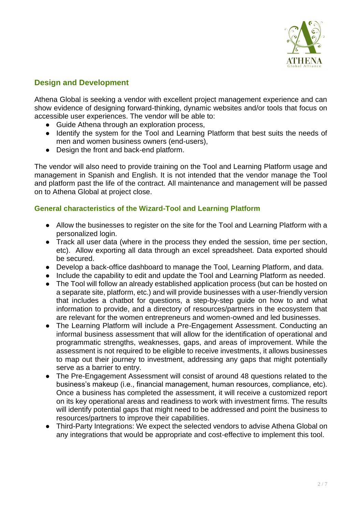

### **Design and Development**

Athena Global is seeking a vendor with excellent project management experience and can show evidence of designing forward-thinking, dynamic websites and/or tools that focus on accessible user experiences. The vendor will be able to:

- Guide Athena through an exploration process,
- Identify the system for the Tool and Learning Platform that best suits the needs of men and women business owners (end-users),
- Design the front and back-end platform.

The vendor will also need to provide training on the Tool and Learning Platform usage and management in Spanish and English. It is not intended that the vendor manage the Tool and platform past the life of the contract. All maintenance and management will be passed on to Athena Global at project close.

### **General characteristics of the Wizard-Tool and Learning Platform**

- Allow the businesses to register on the site for the Tool and Learning Platform with a personalized login.
- Track all user data (where in the process they ended the session, time per section, etc). Allow exporting all data through an excel spreadsheet. Data exported should be secured.
- Develop a back-office dashboard to manage the Tool, Learning Platform, and data.
- Include the capability to edit and update the Tool and Learning Platform as needed.
- The Tool will follow an already established application process (but can be hosted on a separate site, platform, etc.) and will provide businesses with a user-friendly version that includes a chatbot for questions, a step-by-step guide on how to and what information to provide, and a directory of resources/partners in the ecosystem that are relevant for the women entrepreneurs and women-owned and led businesses.
- The Learning Platform will include a Pre-Engagement Assessment. Conducting an informal business assessment that will allow for the identification of operational and programmatic strengths, weaknesses, gaps, and areas of improvement. While the assessment is not required to be eligible to receive investments, it allows businesses to map out their journey to investment, addressing any gaps that might potentially serve as a barrier to entry.
- The Pre-Engagement Assessment will consist of around 48 questions related to the business's makeup (i.e., financial management, human resources, compliance, etc). Once a business has completed the assessment, it will receive a customized report on its key operational areas and readiness to work with investment firms. The results will identify potential gaps that might need to be addressed and point the business to resources/partners to improve their capabilities.
- Third-Party Integrations: We expect the selected vendors to advise Athena Global on any integrations that would be appropriate and cost-effective to implement this tool.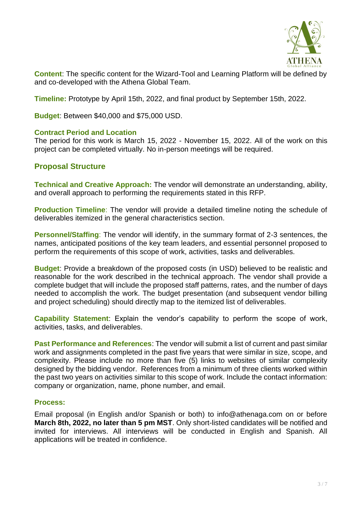

**Content**: The specific content for the Wizard-Tool and Learning Platform will be defined by and co-developed with the Athena Global Team.

**Timeline:** Prototype by April 15th, 2022, and final product by September 15th, 2022.

**Budget**: Between \$40,000 and \$75,000 USD.

### **Contract Period and Location**

The period for this work is March 15, 2022 - November 15, 2022. All of the work on this project can be completed virtually. No in-person meetings will be required.

### **Proposal Structure**

**Technical and Creative Approach:** The vendor will demonstrate an understanding, ability, and overall approach to performing the requirements stated in this RFP.

**Production Timeline**: The vendor will provide a detailed timeline noting the schedule of deliverables itemized in the general characteristics section.

**Personnel/Staffing:** The vendor will identify, in the summary format of 2-3 sentences, the names, anticipated positions of the key team leaders, and essential personnel proposed to perform the requirements of this scope of work, activities, tasks and deliverables.

**Budget**: Provide a breakdown of the proposed costs (in USD) believed to be realistic and reasonable for the work described in the technical approach. The vendor shall provide a complete budget that will include the proposed staff patterns, rates, and the number of days needed to accomplish the work. The budget presentation (and subsequent vendor billing and project scheduling) should directly map to the itemized list of deliverables.

**Capability Statement**: Explain the vendor's capability to perform the scope of work, activities, tasks, and deliverables.

**Past Performance and References**: The vendor will submit a list of current and past similar work and assignments completed in the past five years that were similar in size, scope, and complexity. Please include no more than five (5) links to websites of similar complexity designed by the bidding vendor. References from a minimum of three clients worked within the past two years on activities similar to this scope of work. Include the contact information: company or organization, name, phone number, and email.

#### **Process:**

Email proposal (in English and/or Spanish or both) to info@athenaga.com on or before **March 8th, 2022, no later than 5 pm MST**. Only short-listed candidates will be notified and invited for interviews. All interviews will be conducted in English and Spanish. All applications will be treated in confidence.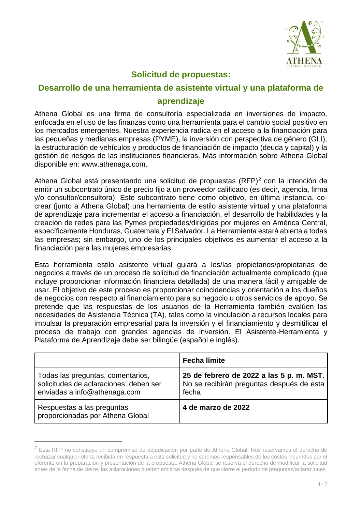

# **Solicitud de propuestas:**

# **Desarrollo de una herramienta de asistente virtual y una plataforma de aprendizaje**

Athena Global es una firma de consultoría especializada en inversiones de impacto, enfocada en el uso de las finanzas como una herramienta para el cambio social positivo en los mercados emergentes. Nuestra experiencia radica en el acceso a la financiación para las pequeñas y medianas empresas (PYME), la inversión con perspectiva de género (GLI), la estructuración de vehículos y productos de financiación de impacto (deuda y capital) y la gestión de riesgos de las instituciones financieras. Más información sobre Athena Global disponible en: [www.athenaga.com.](http://www.athenaga.com/)

Athena Global está presentando una solicitud de propuestas (RFP)<sup>2</sup> con la intención de emitir un subcontrato único de precio fijo a un proveedor calificado (es decir, agencia, firma y/o consultor/consultora). Este subcontrato tiene como objetivo, en última instancia, cocrear (junto a Athena Global) una herramienta de estilo asistente virtual y una plataforma de aprendizaje para incrementar el acceso a financiación, el desarrollo de habilidades y la creación de redes para las Pymes propiedades/dirigidas por mujeres en América Central, específicamente Honduras, Guatemala y El Salvador. La Herramienta estará abierta a todas las empresas; sin embargo, uno de los principales objetivos es aumentar el acceso a la financiación para las mujeres empresarias.

Esta herramienta estilo asistente virtual guiará a los/las propietarios/propietarias de negocios a través de un proceso de solicitud de financiación actualmente complicado (que incluye proporcionar información financiera detallada) de una manera fácil y amigable de usar. El objetivo de este proceso es proporcionar coincidencias y orientación a los dueños de negocios con respecto al financiamiento para su negocio u otros servicios de apoyo. Se pretende que las respuestas de los usuarios de la Herramienta también evalúen las necesidades de Asistencia Técnica (TA), tales como la vinculación a recursos locales para impulsar la preparación empresarial para la inversión y el financiamiento y desmitificar el proceso de trabajo con grandes agencias de inversión. El Asistente-Herramienta y Plataforma de Aprendizaje debe ser bilingüe (español e inglés).

|                                                                                                             | <b>Fecha límite</b>                                                                           |
|-------------------------------------------------------------------------------------------------------------|-----------------------------------------------------------------------------------------------|
| Todas las preguntas, comentarios,<br>solicitudes de aclaraciones: deben ser<br>enviadas a info@athenaga.com | 25 de febrero de 2022 a las 5 p.m. MST.<br>No se recibirán preguntas después de esta<br>fecha |
| Respuestas a las preguntas<br>proporcionadas por Athena Global                                              | 4 de marzo de 2022                                                                            |

 $^2$  Esta RFP no constituye un compromiso de adjudicación por parte de Athena Global. Nos reservamos el derecho de rechazar cualquier oferta recibida en respuesta a esta solicitud y no seremos responsables de los costos incurridos por el oferente en la preparación y presentación de la propuesta. Athena Global se reserva el derecho de modificar la solicitud antes de la fecha de cierre; las aclaraciones pueden emitirse después de que cierre el período de preguntas/aclaraciones.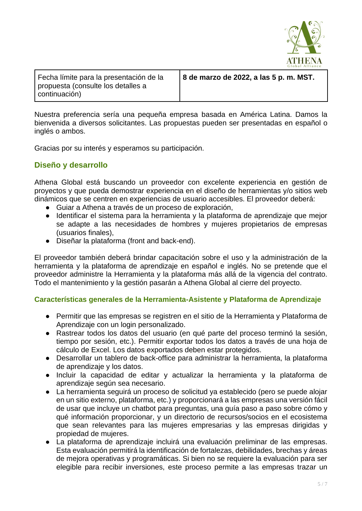

Fecha límite para la presentación de la propuesta (consulte los detalles a continuación)

**8 de marzo de 2022, a las 5 p. m. MST.**

Nuestra preferencia sería una pequeña empresa basada en América Latina. Damos la bienvenida a diversos solicitantes. Las propuestas pueden ser presentadas en español o inglés o ambos.

Gracias por su interés y esperamos su participación.

### **Diseño y desarrollo**

Athena Global está buscando un proveedor con excelente experiencia en gestión de proyectos y que pueda demostrar experiencia en el diseño de herramientas y/o sitios web dinámicos que se centren en experiencias de usuario accesibles. El proveedor deberá:

- Guiar a Athena a través de un proceso de exploración,
- Identificar el sistema para la herramienta y la plataforma de aprendizaje que mejor se adapte a las necesidades de hombres y mujeres propietarios de empresas (usuarios finales),
- Diseñar la plataforma (front and back-end).

El proveedor también deberá brindar capacitación sobre el uso y la administración de la herramienta y la plataforma de aprendizaje en español e inglés. No se pretende que el proveedor administre la Herramienta y la plataforma más allá de la vigencia del contrato. Todo el mantenimiento y la gestión pasarán a Athena Global al cierre del proyecto.

### **Características generales de la Herramienta-Asistente y Plataforma de Aprendizaje**

- Permitir que las empresas se registren en el sitio de la Herramienta y Plataforma de Aprendizaje con un login personalizado.
- Rastrear todos los datos del usuario (en qué parte del proceso terminó la sesión, tiempo por sesión, etc.). Permitir exportar todos los datos a través de una hoja de cálculo de Excel. Los datos exportados deben estar protegidos.
- Desarrollar un tablero de back-office para administrar la herramienta, la plataforma de aprendizaje y los datos.
- Incluir la capacidad de editar y actualizar la herramienta y la plataforma de aprendizaje según sea necesario.
- La herramienta seguirá un proceso de solicitud ya establecido (pero se puede alojar en un sitio externo, plataforma, etc.) y proporcionará a las empresas una versión fácil de usar que incluye un chatbot para preguntas, una guía paso a paso sobre cómo y qué información proporcionar, y un directorio de recursos/socios en el ecosistema que sean relevantes para las mujeres empresarias y las empresas dirigidas y propiedad de mujeres.
- La plataforma de aprendizaje incluirá una evaluación preliminar de las empresas. Esta evaluación permitirá la identificación de fortalezas, debilidades, brechas y áreas de mejora operativas y programáticas. Si bien no se requiere la evaluación para ser elegible para recibir inversiones, este proceso permite a las empresas trazar un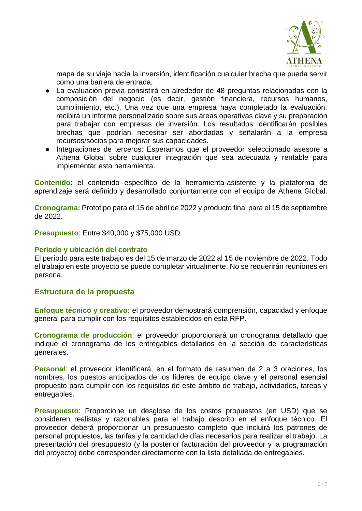

mapa de su viaje hacia la inversión, identificación cualquier brecha que pueda servir como una barrera de entrada.

- La evaluación previa consistirá en alrededor de 48 preguntas relacionadas con la composición del negocio (es decir, gestión financiera, recursos humanos, cumplimiento, etc.). Una vez que una empresa haya completado la evaluación, recibirá un informe personalizado sobre sus áreas operativas clave y su preparación para trabajar con empresas de inversión. Los resultados identificarán posibles brechas que podrían necesitar ser abordadas y señalarán a la empresa recursos/socios para mejorar sus capacidades.
- Integraciones de terceros: Esperamos que el proveedor seleccionado asesore a Athena Global sobre cualquier integración que sea adecuada y rentable para implementar esta herramienta.

**Contenido**: el contenido específico de la herramienta-asistente y la plataforma de aprendizaje será definido y desarrollado conjuntamente con el equipo de Athena Global.

**Cronograma:** Prototipo para el 15 de abril de 2022 y producto final para el 15 de septiembre de 2022.

**Presupuesto**: Entre \$40,000 y \$75,000 USD.

### **Período y ubicación del contrato**

El período para este trabajo es del 15 de marzo de 2022 al 15 de noviembre de 2022. Todo el trabajo en este proyecto se puede completar virtualmente. No se requerirán reuniones en persona.

### **Estructura de la propuesta**

**Enfoque técnico y creativo:** el proveedor demostrará comprensión, capacidad y enfoque general para cumplir con los requisitos establecidos en esta RFP.

**Cronograma de producción**: el proveedor proporcionará un cronograma detallado que indique el cronograma de los entregables detallados en la sección de características generales.

**Personal**: el proveedor identificará, en el formato de resumen de 2 a 3 oraciones, los nombres, los puestos anticipados de los líderes de equipo clave y el personal esencial propuesto para cumplir con los requisitos de este ámbito de trabajo, actividades, tareas y entregables.

**Presupuesto**: Proporcione un desglose de los costos propuestos (en USD) que se consideren realistas y razonables para el trabajo descrito en el enfoque técnico. El proveedor deberá proporcionar un presupuesto completo que incluirá los patrones de personal propuestos, las tarifas y la cantidad de días necesarios para realizar el trabajo. La presentación del presupuesto (y la posterior facturación del proveedor y la programación del proyecto) debe corresponder directamente con la lista detallada de entregables.